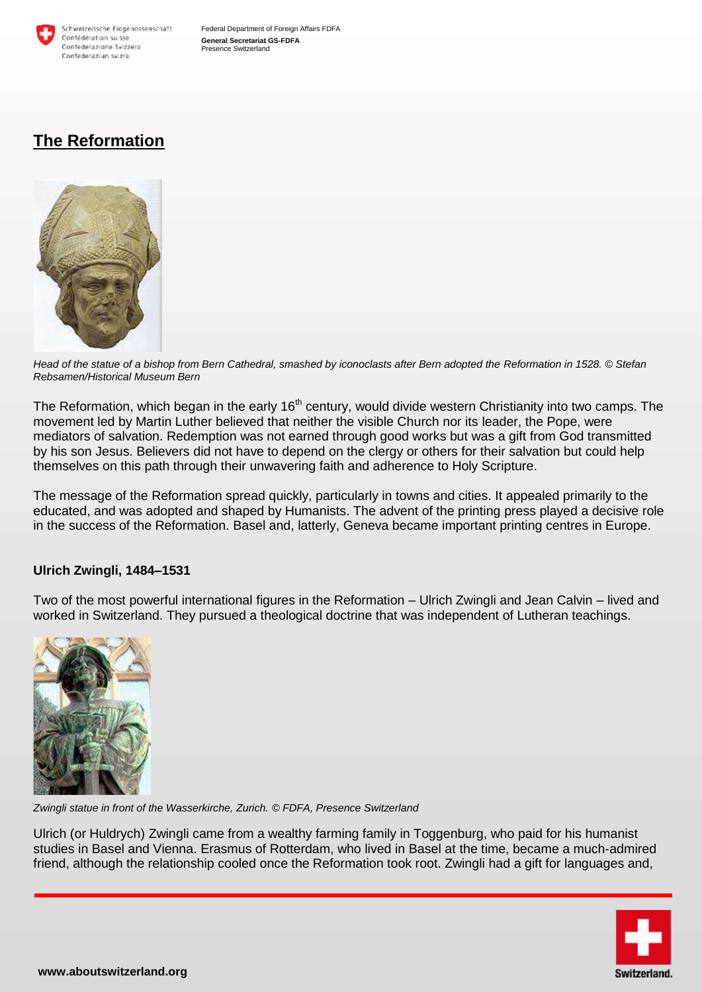

Federal Department of Foreign Affairs FDFA **General Secretariat GS-FDFA** Presence Switzerland

# **The Reformation**



*Head of the statue of a bishop from Bern Cathedral, smashed by iconoclasts after Bern adopted the Reformation in 1528. © Stefan Rebsamen/Historical Museum Bern* 

The Reformation, which began in the early 16<sup>th</sup> century, would divide western Christianity into two camps. The movement led by Martin Luther believed that neither the visible Church nor its leader, the Pope, were mediators of salvation. Redemption was not earned through good works but was a gift from God transmitted by his son Jesus. Believers did not have to depend on the clergy or others for their salvation but could help themselves on this path through their unwavering faith and adherence to Holy Scripture.

The message of the Reformation spread quickly, particularly in towns and cities. It appealed primarily to the educated, and was adopted and shaped by Humanists. The advent of the printing press played a decisive role in the success of the Reformation. Basel and, latterly, Geneva became important printing centres in Europe.

### **Ulrich Zwingli, 1484–1531**

Two of the most powerful international figures in the Reformation – Ulrich Zwingli and Jean Calvin – lived and worked in Switzerland. They pursued a theological doctrine that was independent of Lutheran teachings.



*Zwingli statue in front of the Wasserkirche, Zurich. © FDFA, Presence Switzerland*

Ulrich (or Huldrych) Zwingli came from a wealthy farming family in Toggenburg, who paid for his humanist studies in Basel and Vienna. Erasmus of Rotterdam, who lived in Basel at the time, became a much-admired friend, although the relationship cooled once the Reformation took root. Zwingli had a gift for languages and,

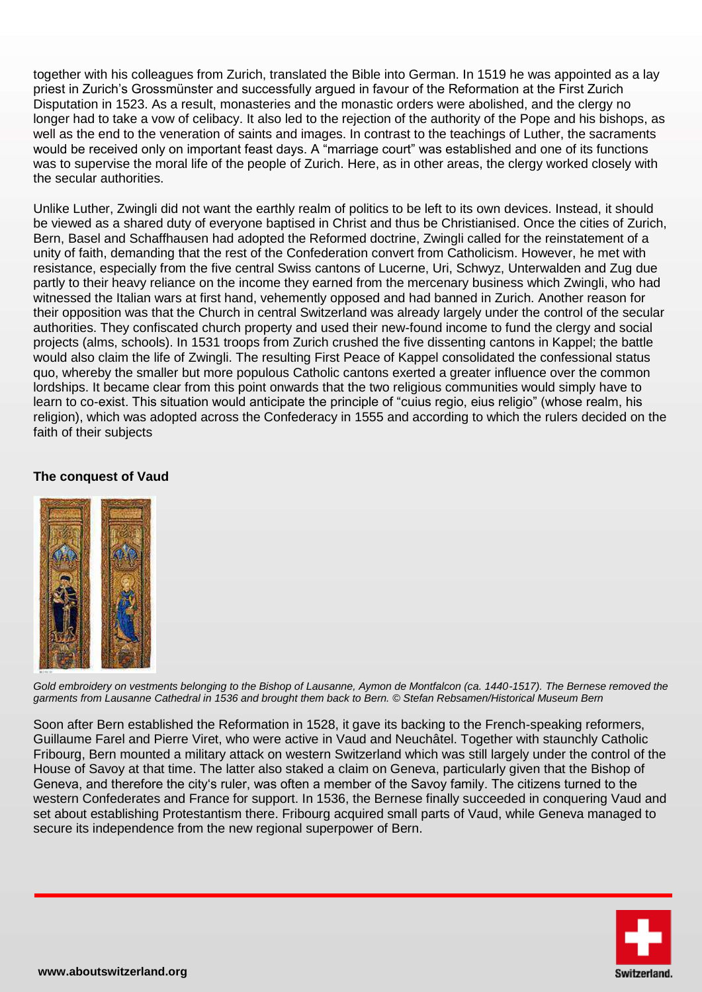together with his colleagues from Zurich, translated the Bible into German. In 1519 he was appointed as a lay priest in Zurich's Grossmünster and successfully argued in favour of the Reformation at the First Zurich Disputation in 1523. As a result, monasteries and the monastic orders were abolished, and the clergy no longer had to take a vow of celibacy. It also led to the rejection of the authority of the Pope and his bishops, as well as the end to the veneration of saints and images. In contrast to the teachings of Luther, the sacraments would be received only on important feast days. A "marriage court" was established and one of its functions was to supervise the moral life of the people of Zurich. Here, as in other areas, the clergy worked closely with the secular authorities.

Unlike Luther, Zwingli did not want the earthly realm of politics to be left to its own devices. Instead, it should be viewed as a shared duty of everyone baptised in Christ and thus be Christianised. Once the cities of Zurich, Bern, Basel and Schaffhausen had adopted the Reformed doctrine, Zwingli called for the reinstatement of a unity of faith, demanding that the rest of the Confederation convert from Catholicism. However, he met with resistance, especially from the five central Swiss cantons of Lucerne, Uri, Schwyz, Unterwalden and Zug due partly to their heavy reliance on the income they earned from the mercenary business which Zwingli, who had witnessed the Italian wars at first hand, vehemently opposed and had banned in Zurich. Another reason for their opposition was that the Church in central Switzerland was already largely under the control of the secular authorities. They confiscated church property and used their new-found income to fund the clergy and social projects (alms, schools). In 1531 troops from Zurich crushed the five dissenting cantons in Kappel; the battle would also claim the life of Zwingli. The resulting First Peace of Kappel consolidated the confessional status quo, whereby the smaller but more populous Catholic cantons exerted a greater influence over the common lordships. It became clear from this point onwards that the two religious communities would simply have to learn to co-exist. This situation would anticipate the principle of "cuius regio, eius religio" (whose realm, his religion), which was adopted across the Confederacy in 1555 and according to which the rulers decided on the faith of their subjects

### **The conquest of Vaud**



Gold embroidery on vestments belonging to the Bishop of Lausanne, Aymon de Montfalcon (ca. 1440-1517). The Bernese removed the *garments from Lausanne Cathedral in 1536 and brought them back to Bern. © Stefan Rebsamen/Historical Museum Bern*

Soon after Bern established the Reformation in 1528, it gave its backing to the French-speaking reformers, Guillaume Farel and Pierre Viret, who were active in Vaud and Neuchâtel. Together with staunchly Catholic Fribourg, Bern mounted a military attack on western Switzerland which was still largely under the control of the House of Savoy at that time. The latter also staked a claim on Geneva, particularly given that the Bishop of Geneva, and therefore the city's ruler, was often a member of the Savoy family. The citizens turned to the western Confederates and France for support. In 1536, the Bernese finally succeeded in conquering Vaud and set about establishing Protestantism there. Fribourg acquired small parts of Vaud, while Geneva managed to secure its independence from the new regional superpower of Bern.

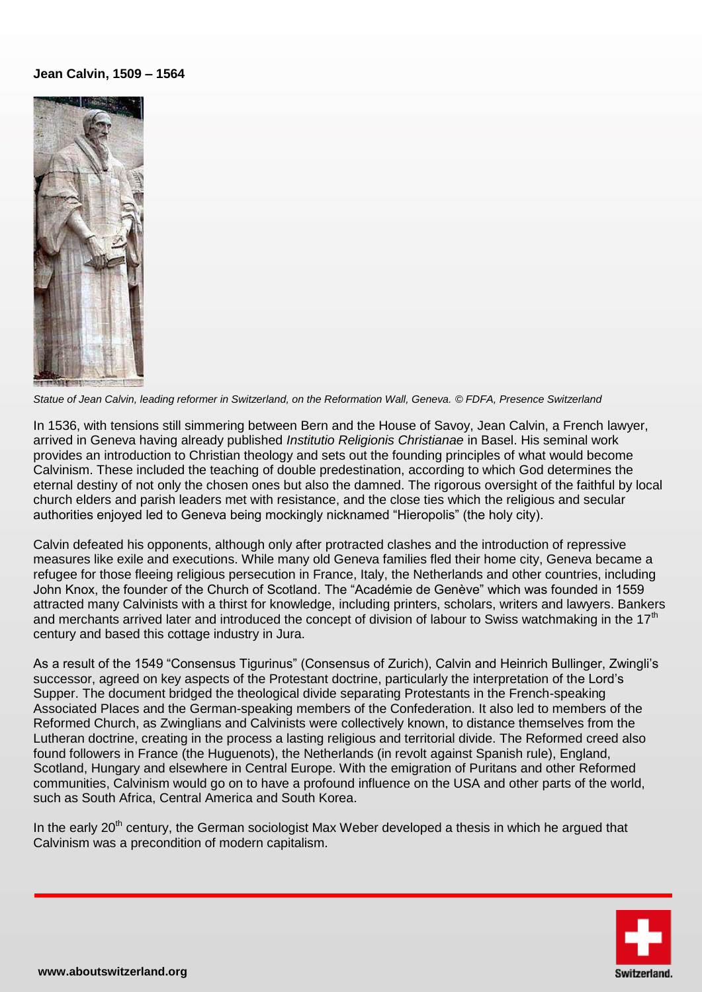#### **Jean Calvin, 1509 – 1564**



*Statue of Jean Calvin, leading reformer in Switzerland, on the Reformation Wall, Geneva. © FDFA, Presence Switzerland*

In 1536, with tensions still simmering between Bern and the House of Savoy, Jean Calvin, a French lawyer, arrived in Geneva having already published *Institutio Religionis Christianae* in Basel. His seminal work provides an introduction to Christian theology and sets out the founding principles of what would become Calvinism. These included the teaching of double predestination, according to which God determines the eternal destiny of not only the chosen ones but also the damned. The rigorous oversight of the faithful by local church elders and parish leaders met with resistance, and the close ties which the religious and secular authorities enjoyed led to Geneva being mockingly nicknamed "Hieropolis" (the holy city).

Calvin defeated his opponents, although only after protracted clashes and the introduction of repressive measures like exile and executions. While many old Geneva families fled their home city, Geneva became a refugee for those fleeing religious persecution in France, Italy, the Netherlands and other countries, including John Knox, the founder of the Church of Scotland. The "Académie de Genève" which was founded in 1559 attracted many Calvinists with a thirst for knowledge, including printers, scholars, writers and lawyers. Bankers and merchants arrived later and introduced the concept of division of labour to Swiss watchmaking in the 17<sup>th</sup> century and based this cottage industry in Jura.

As a result of the 1549 "Consensus Tigurinus" (Consensus of Zurich), Calvin and Heinrich Bullinger, Zwingli's successor, agreed on key aspects of the Protestant doctrine, particularly the interpretation of the Lord's Supper. The document bridged the theological divide separating Protestants in the French-speaking Associated Places and the German-speaking members of the Confederation. It also led to members of the Reformed Church, as Zwinglians and Calvinists were collectively known, to distance themselves from the Lutheran doctrine, creating in the process a lasting religious and territorial divide. The Reformed creed also found followers in France (the Huguenots), the Netherlands (in revolt against Spanish rule), England, Scotland, Hungary and elsewhere in Central Europe. With the emigration of Puritans and other Reformed communities, Calvinism would go on to have a profound influence on the USA and other parts of the world, such as South Africa, Central America and South Korea.

In the early  $20<sup>th</sup>$  century, the German sociologist Max Weber developed a thesis in which he argued that Calvinism was a precondition of modern capitalism.